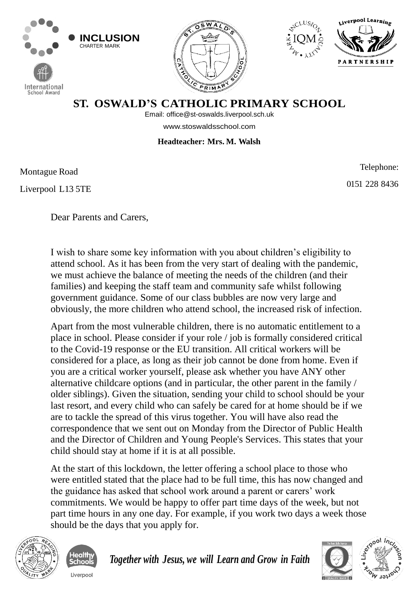







## **ST. OSWALD'S CATHOLIC PRIMARY SCHOOL**

Email: [off](mailto:office@st-oswalds.liverpool.sch.uk)[ice@st-oswalds.liverpool.sch.uk](mailto:fice@st-oswalds.liverpool.sch.uk) 

[www.stoswaldsschool.com](http://www.stoswaldsschool.com/)

## **Headteacher: Mrs. M. Walsh**

Montague Road

**School Award** 

Liverpool L13 5TE

Telephone: 0151 228 8436

Dear Parents and Carers,

I wish to share some key information with you about children's eligibility to attend school. As it has been from the very start of dealing with the pandemic, we must achieve the balance of meeting the needs of the children (and their families) and keeping the staff team and community safe whilst following government guidance. Some of our class bubbles are now very large and obviously, the more children who attend school, the increased risk of infection.

Apart from the most vulnerable children, there is no automatic entitlement to a place in school. Please consider if your role / job is formally considered critical to the Covid-19 response or the EU transition. All critical workers will be considered for a place, as long as their job cannot be done from home. Even if you are a critical worker yourself, please ask whether you have ANY other alternative childcare options (and in particular, the other parent in the family / older siblings). Given the situation, sending your child to school should be your last resort, and every child who can safely be cared for at home should be if we are to tackle the spread of this virus together. You will have also read the correspondence that we sent out on Monday from the Director of Public Health and the Director of Children and Young People's Services. This states that your child should stay at home if it is at all possible.

At the start of this lockdown, the letter offering a school place to those who were entitled stated that the place had to be full time, this has now changed and the guidance has asked that school work around a parent or carers' work commitments. We would be happy to offer part time days of the week, but not part time hours in any one day. For example, if you work two days a week those should be the days that you apply for.



hoo Liverpoo *Together with Jesus, we will Learn and Grow in Faith*